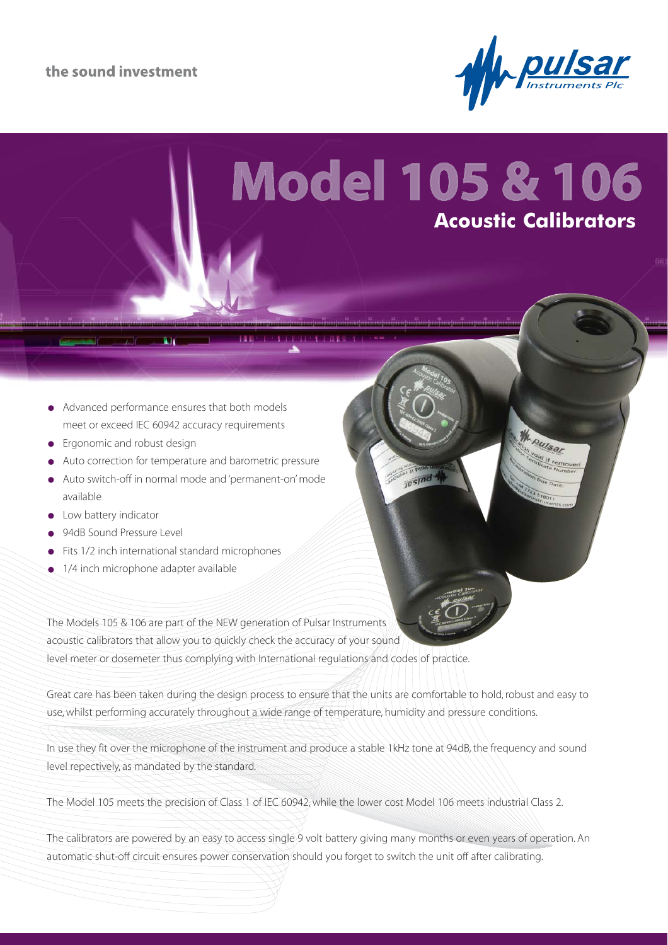

Pulsar

# **Model 105 & 106 Acoustic Calibrators**

jesind

- Advanced performance ensures that both models  $\bullet$ meet or exceed IEC 60942 accuracy requirements
- Ergonomic and robust design
- Auto correction for temperature and barometric pressure
- Auto switch-off in normal mode and 'permanent-on' mode available
- **C**low battery indicator
- 94dB Sound Pressure Level
- Fits 1/2 inch international standard microphones
- 1/4 inch microphone adapter available

The Models 105 & 106 are part of the NEW generation of Pulsar Instruments acoustic calibrators that allow you to quickly check the accuracy of your sound level meter or dosemeter thus complying with International regulations and codes of practice.

Great care has been taken during the design process to ensure that the units are comfortable to hold, robust and easy to use, whilst performing accurately throughout a wide range of temperature, humidity and pressure conditions.

In use they fit over the microphone of the instrument and produce a stable 1kHz tone at 94dB, the frequency and sound level repectively, as mandated by the standard.

The Model 105 meets the precision of Class 1 of IEC 60942, while the lower cost Model 106 meets industrial Class 2.

The calibrators are powered by an easy to access single 9 volt battery giving many months or even years of operation. An automatic shut-off circuit ensures power conservation should you forget to switch the unit off after calibrating.